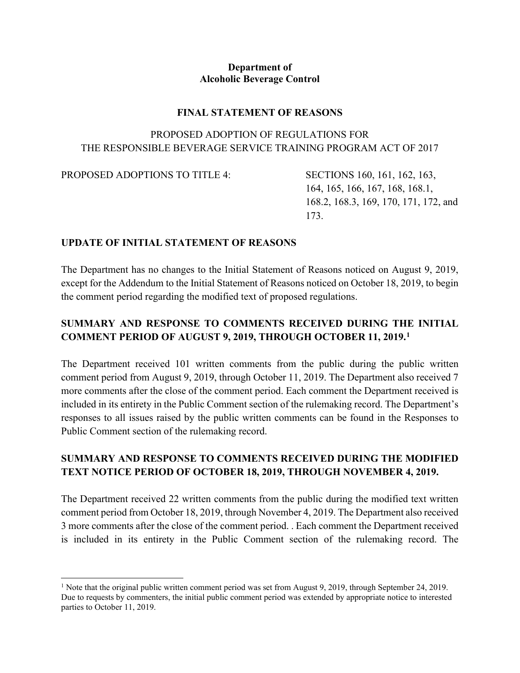#### **Department of Alcoholic Beverage Control**

#### **FINAL STATEMENT OF REASONS**

### PROPOSED ADOPTION OF REGULATIONS FOR THE RESPONSIBLE BEVERAGE SERVICE TRAINING PROGRAM ACT OF 2017

PROPOSED ADOPTIONS TO TITLE 4: SECTIONS 160, 161, 162, 163,

164, 165, 166, 167, 168, 168.1, 168.2, 168.3, 169, 170, 171, 172, and 173.

#### **UPDATE OF INITIAL STATEMENT OF REASONS**

The Department has no changes to the Initial Statement of Reasons noticed on August 9, 2019, except for the Addendum to the Initial Statement of Reasons noticed on October 18, 2019, to begin the comment period regarding the modified text of proposed regulations.

## **SUMMARY AND RESPONSE TO COMMENTS RECEIVED DURING THE INITIAL COMMENT PERIOD OF AUGUST 9, 2019, THROUGH OCTOBER 11, 2019.[1](#page-0-0)**

The Department received 101 written comments from the public during the public written comment period from August 9, 2019, through October 11, 2019. The Department also received 7 more comments after the close of the comment period. Each comment the Department received is included in its entirety in the Public Comment section of the rulemaking record. The Department's responses to all issues raised by the public written comments can be found in the Responses to Public Comment section of the rulemaking record.

# **SUMMARY AND RESPONSE TO COMMENTS RECEIVED DURING THE MODIFIED TEXT NOTICE PERIOD OF OCTOBER 18, 2019, THROUGH NOVEMBER 4, 2019.**

The Department received 22 written comments from the public during the modified text written comment period from October 18, 2019, through November 4, 2019. The Department also received 3 more comments after the close of the comment period. . Each comment the Department received is included in its entirety in the Public Comment section of the rulemaking record. The

<span id="page-0-0"></span><sup>&</sup>lt;sup>1</sup> Note that the original public written comment period was set from August 9, 2019, through September 24, 2019. Due to requests by commenters, the initial public comment period was extended by appropriate notice to interested parties to October 11, 2019.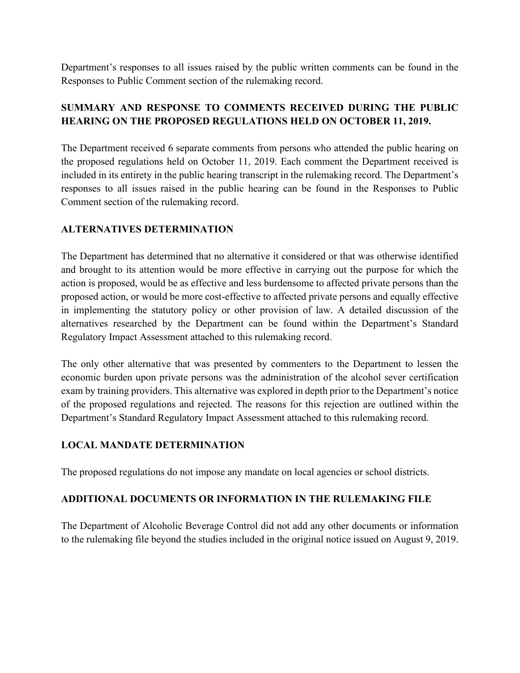Department's responses to all issues raised by the public written comments can be found in the Responses to Public Comment section of the rulemaking record.

# **SUMMARY AND RESPONSE TO COMMENTS RECEIVED DURING THE PUBLIC HEARING ON THE PROPOSED REGULATIONS HELD ON OCTOBER 11, 2019.**

The Department received 6 separate comments from persons who attended the public hearing on the proposed regulations held on October 11, 2019. Each comment the Department received is included in its entirety in the public hearing transcript in the rulemaking record. The Department's responses to all issues raised in the public hearing can be found in the Responses to Public Comment section of the rulemaking record.

### **ALTERNATIVES DETERMINATION**

The Department has determined that no alternative it considered or that was otherwise identified and brought to its attention would be more effective in carrying out the purpose for which the action is proposed, would be as effective and less burdensome to affected private persons than the proposed action, or would be more cost-effective to affected private persons and equally effective in implementing the statutory policy or other provision of law. A detailed discussion of the alternatives researched by the Department can be found within the Department's Standard Regulatory Impact Assessment attached to this rulemaking record.

The only other alternative that was presented by commenters to the Department to lessen the economic burden upon private persons was the administration of the alcohol sever certification exam by training providers. This alternative was explored in depth prior to the Department's notice of the proposed regulations and rejected. The reasons for this rejection are outlined within the Department's Standard Regulatory Impact Assessment attached to this rulemaking record.

### **LOCAL MANDATE DETERMINATION**

The proposed regulations do not impose any mandate on local agencies or school districts.

#### **ADDITIONAL DOCUMENTS OR INFORMATION IN THE RULEMAKING FILE**

The Department of Alcoholic Beverage Control did not add any other documents or information to the rulemaking file beyond the studies included in the original notice issued on August 9, 2019.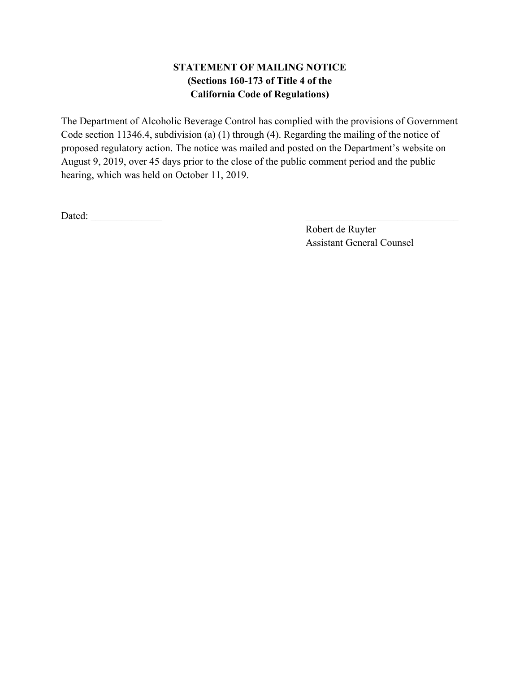# **STATEMENT OF MAILING NOTICE (Sections 160-173 of Title 4 of the California Code of Regulations)**

The Department of Alcoholic Beverage Control has complied with the provisions of Government Code section 11346.4, subdivision (a) (1) through (4). Regarding the mailing of the notice of proposed regulatory action. The notice was mailed and posted on the Department's website on August 9, 2019, over 45 days prior to the close of the public comment period and the public hearing, which was held on October 11, 2019.

Dated: \_\_\_\_\_\_\_\_\_\_\_\_\_\_ \_\_\_\_\_\_\_\_\_\_\_\_\_\_\_\_\_\_\_\_\_\_\_\_\_\_\_\_\_\_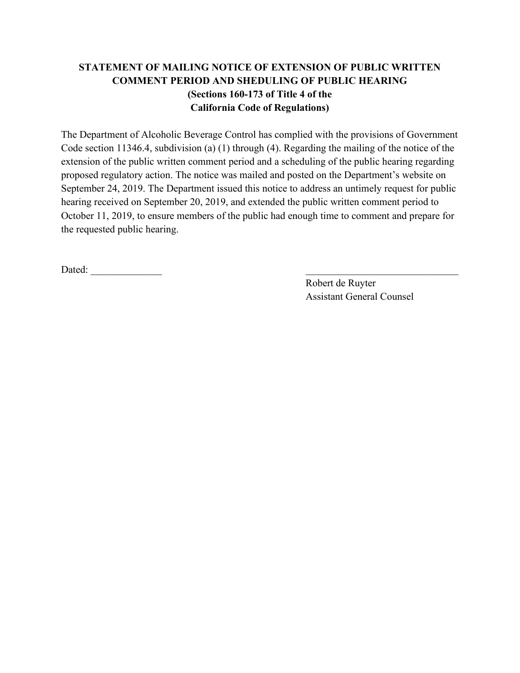# **STATEMENT OF MAILING NOTICE OF EXTENSION OF PUBLIC WRITTEN COMMENT PERIOD AND SHEDULING OF PUBLIC HEARING (Sections 160-173 of Title 4 of the California Code of Regulations)**

The Department of Alcoholic Beverage Control has complied with the provisions of Government Code section 11346.4, subdivision (a) (1) through (4). Regarding the mailing of the notice of the extension of the public written comment period and a scheduling of the public hearing regarding proposed regulatory action. The notice was mailed and posted on the Department's website on September 24, 2019. The Department issued this notice to address an untimely request for public hearing received on September 20, 2019, and extended the public written comment period to October 11, 2019, to ensure members of the public had enough time to comment and prepare for the requested public hearing.

Dated:  $\qquad \qquad \qquad \qquad$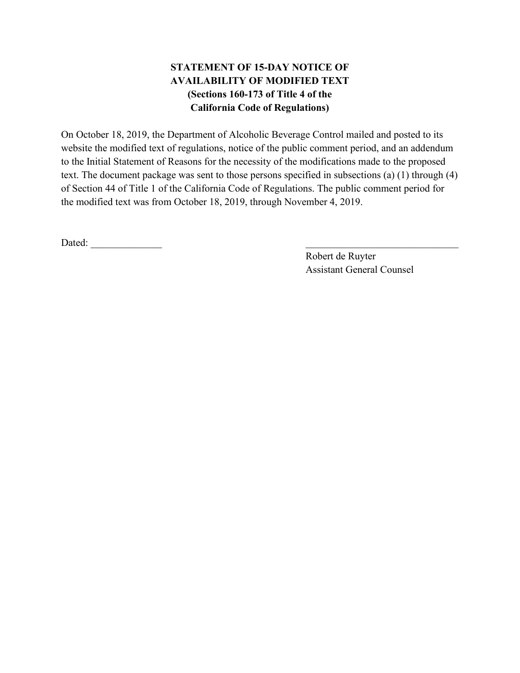# **STATEMENT OF 15-DAY NOTICE OF AVAILABILITY OF MODIFIED TEXT (Sections 160-173 of Title 4 of the California Code of Regulations)**

On October 18, 2019, the Department of Alcoholic Beverage Control mailed and posted to its website the modified text of regulations, notice of the public comment period, and an addendum to the Initial Statement of Reasons for the necessity of the modifications made to the proposed text. The document package was sent to those persons specified in subsections (a) (1) through (4) of Section 44 of Title 1 of the California Code of Regulations. The public comment period for the modified text was from October 18, 2019, through November 4, 2019.

Dated: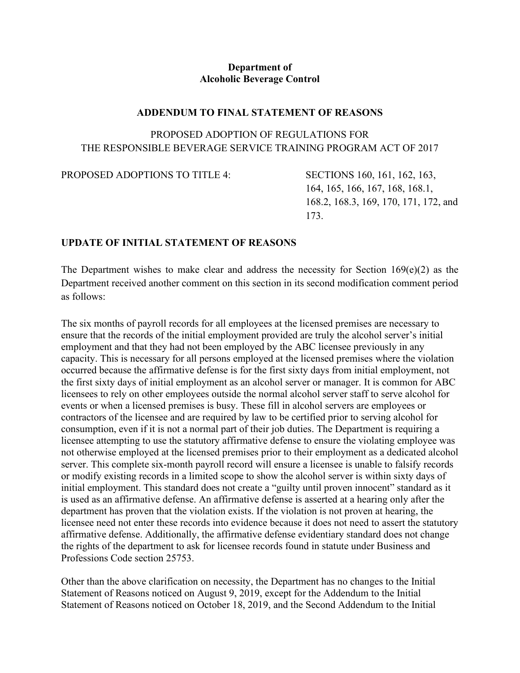#### **Department of Alcoholic Beverage Control**

#### **ADDENDUM TO FINAL STATEMENT OF REASONS**

### PROPOSED ADOPTION OF REGULATIONS FOR THE RESPONSIBLE BEVERAGE SERVICE TRAINING PROGRAM ACT OF 2017

PROPOSED ADOPTIONS TO TITLE 4: SECTIONS 160, 161, 162, 163,

164, 165, 166, 167, 168, 168.1, 168.2, 168.3, 169, 170, 171, 172, and 173.

#### **UPDATE OF INITIAL STATEMENT OF REASONS**

The Department wishes to make clear and address the necessity for Section  $169(e)(2)$  as the Department received another comment on this section in its second modification comment period as follows:

The six months of payroll records for all employees at the licensed premises are necessary to ensure that the records of the initial employment provided are truly the alcohol server's initial employment and that they had not been employed by the ABC licensee previously in any capacity. This is necessary for all persons employed at the licensed premises where the violation occurred because the affirmative defense is for the first sixty days from initial employment, not the first sixty days of initial employment as an alcohol server or manager. It is common for ABC licensees to rely on other employees outside the normal alcohol server staff to serve alcohol for events or when a licensed premises is busy. These fill in alcohol servers are employees or contractors of the licensee and are required by law to be certified prior to serving alcohol for consumption, even if it is not a normal part of their job duties. The Department is requiring a licensee attempting to use the statutory affirmative defense to ensure the violating employee was not otherwise employed at the licensed premises prior to their employment as a dedicated alcohol server. This complete six-month payroll record will ensure a licensee is unable to falsify records or modify existing records in a limited scope to show the alcohol server is within sixty days of initial employment. This standard does not create a "guilty until proven innocent" standard as it is used as an affirmative defense. An affirmative defense is asserted at a hearing only after the department has proven that the violation exists. If the violation is not proven at hearing, the licensee need not enter these records into evidence because it does not need to assert the statutory affirmative defense. Additionally, the affirmative defense evidentiary standard does not change the rights of the department to ask for licensee records found in statute under Business and Professions Code section 25753.

Other than the above clarification on necessity, the Department has no changes to the Initial Statement of Reasons noticed on August 9, 2019, except for the Addendum to the Initial Statement of Reasons noticed on October 18, 2019, and the Second Addendum to the Initial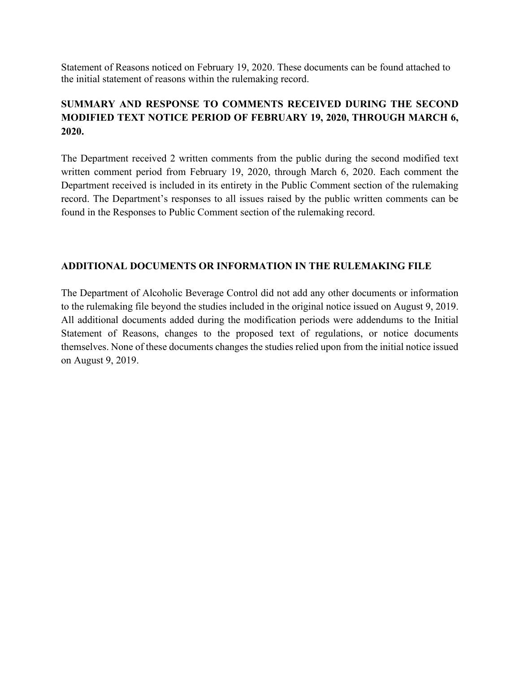Statement of Reasons noticed on February 19, 2020. These documents can be found attached to the initial statement of reasons within the rulemaking record.

# **SUMMARY AND RESPONSE TO COMMENTS RECEIVED DURING THE SECOND MODIFIED TEXT NOTICE PERIOD OF FEBRUARY 19, 2020, THROUGH MARCH 6, 2020.**

The Department received 2 written comments from the public during the second modified text written comment period from February 19, 2020, through March 6, 2020. Each comment the Department received is included in its entirety in the Public Comment section of the rulemaking record. The Department's responses to all issues raised by the public written comments can be found in the Responses to Public Comment section of the rulemaking record.

#### **ADDITIONAL DOCUMENTS OR INFORMATION IN THE RULEMAKING FILE**

The Department of Alcoholic Beverage Control did not add any other documents or information to the rulemaking file beyond the studies included in the original notice issued on August 9, 2019. All additional documents added during the modification periods were addendums to the Initial Statement of Reasons, changes to the proposed text of regulations, or notice documents themselves. None of these documents changes the studies relied upon from the initial notice issued on August 9, 2019.